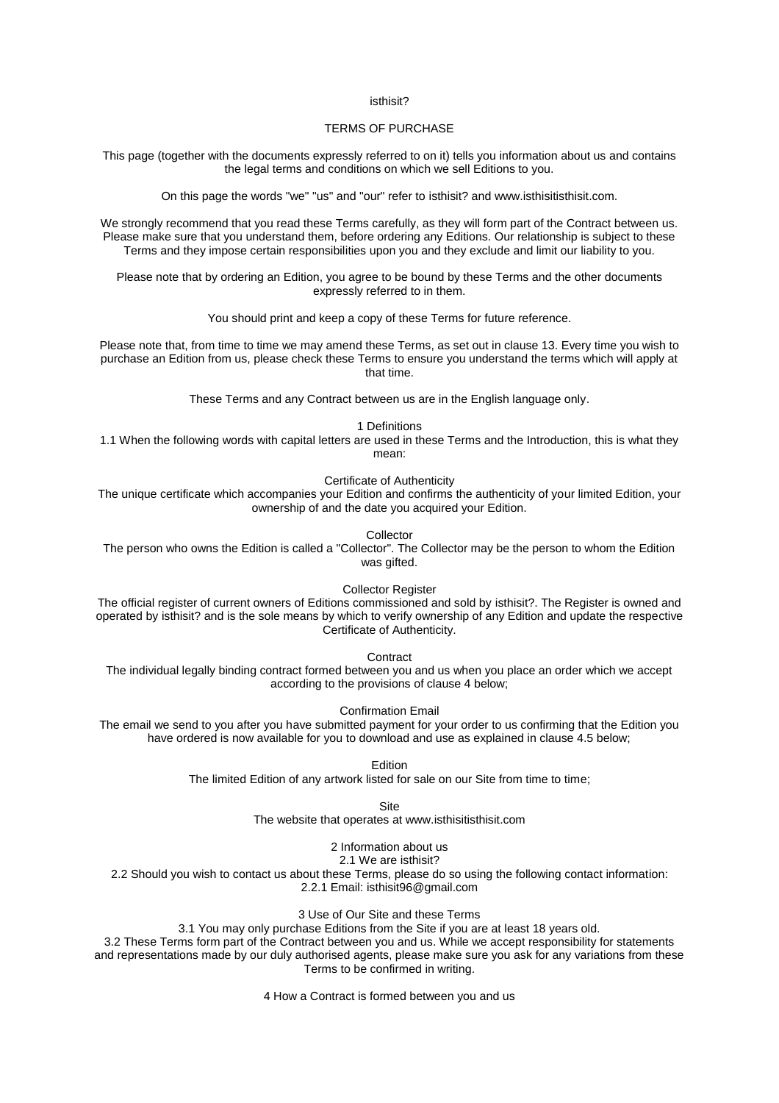#### isthisit?

# TERMS OF PURCHASE

This page (together with the documents expressly referred to on it) tells you information about us and contains the legal terms and conditions on which we sell Editions to you.

On this page the words "we" "us" and "our" refer to isthisit? and www.isthisitisthisit.com.

We strongly recommend that you read these Terms carefully, as they will form part of the Contract between us. Please make sure that you understand them, before ordering any Editions. Our relationship is subject to these Terms and they impose certain responsibilities upon you and they exclude and limit our liability to you.

Please note that by ordering an Edition, you agree to be bound by these Terms and the other documents expressly referred to in them.

You should print and keep a copy of these Terms for future reference.

Please note that, from time to time we may amend these Terms, as set out in clause 13. Every time you wish to purchase an Edition from us, please check these Terms to ensure you understand the terms which will apply at that time.

These Terms and any Contract between us are in the English language only.

1 Definitions

1.1 When the following words with capital letters are used in these Terms and the Introduction, this is what they mean:

Certificate of Authenticity

The unique certificate which accompanies your Edition and confirms the authenticity of your limited Edition, your ownership of and the date you acquired your Edition.

Collector

The person who owns the Edition is called a "Collector". The Collector may be the person to whom the Edition was gifted.

Collector Register

The official register of current owners of Editions commissioned and sold by isthisit?. The Register is owned and operated by isthisit? and is the sole means by which to verify ownership of any Edition and update the respective Certificate of Authenticity.

**Contract** 

The individual legally binding contract formed between you and us when you place an order which we accept according to the provisions of clause 4 below;

Confirmation Email

The email we send to you after you have submitted payment for your order to us confirming that the Edition you have ordered is now available for you to download and use as explained in clause 4.5 below;

**Edition** 

The limited Edition of any artwork listed for sale on our Site from time to time;

Site

The website that operates at www.isthisitisthisit.com

2 Information about us

2.1 We are isthisit?

2.2 Should you wish to contact us about these Terms, please do so using the following contact information: 2.2.1 Email: isthisit96@gmail.com

3 Use of Our Site and these Terms

3.1 You may only purchase Editions from the Site if you are at least 18 years old.

3.2 These Terms form part of the Contract between you and us. While we accept responsibility for statements and representations made by our duly authorised agents, please make sure you ask for any variations from these Terms to be confirmed in writing.

4 How a Contract is formed between you and us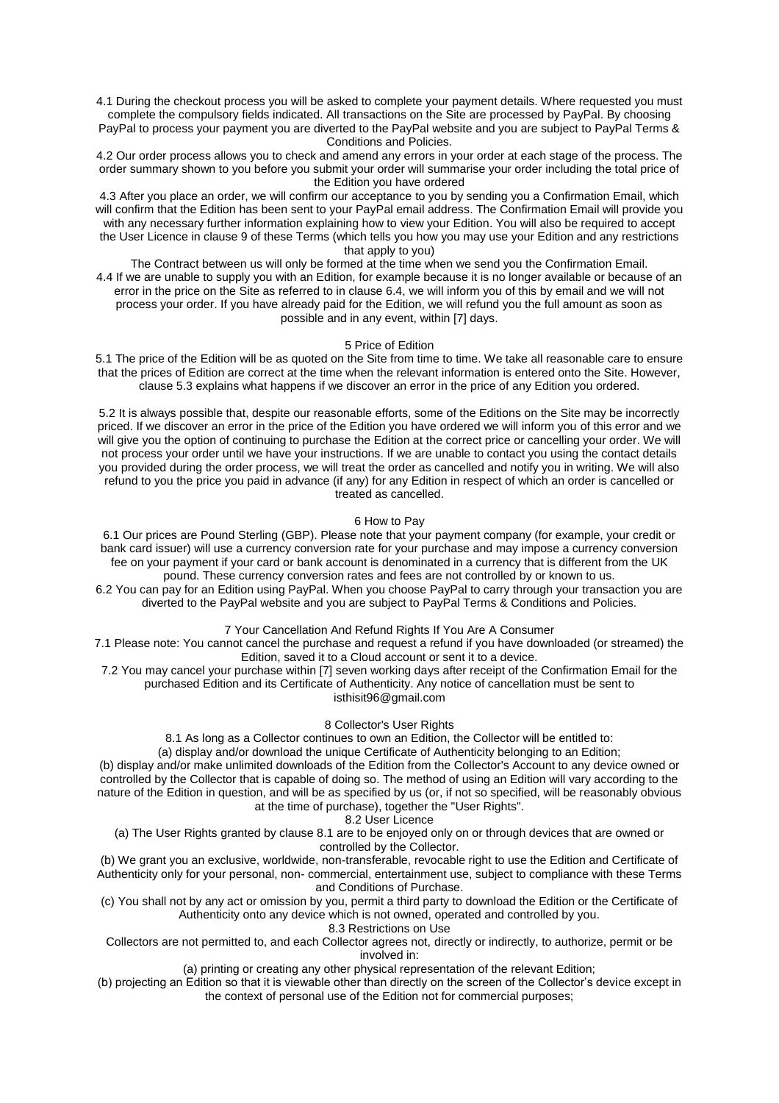4.1 During the checkout process you will be asked to complete your payment details. Where requested you must complete the compulsory fields indicated. All transactions on the Site are processed by PayPal. By choosing PayPal to process your payment you are diverted to the PayPal website and you are subject to PayPal Terms & Conditions and Policies.

4.2 Our order process allows you to check and amend any errors in your order at each stage of the process. The order summary shown to you before you submit your order will summarise your order including the total price of the Edition you have ordered

4.3 After you place an order, we will confirm our acceptance to you by sending you a Confirmation Email, which will confirm that the Edition has been sent to your PayPal email address. The Confirmation Email will provide you with any necessary further information explaining how to view your Edition. You will also be required to accept the User Licence in clause 9 of these Terms (which tells you how you may use your Edition and any restrictions that apply to you)

The Contract between us will only be formed at the time when we send you the Confirmation Email. 4.4 If we are unable to supply you with an Edition, for example because it is no longer available or because of an error in the price on the Site as referred to in clause 6.4, we will inform you of this by email and we will not process your order. If you have already paid for the Edition, we will refund you the full amount as soon as possible and in any event, within [7] days.

### 5 Price of Edition

5.1 The price of the Edition will be as quoted on the Site from time to time. We take all reasonable care to ensure that the prices of Edition are correct at the time when the relevant information is entered onto the Site. However, clause 5.3 explains what happens if we discover an error in the price of any Edition you ordered.

5.2 It is always possible that, despite our reasonable efforts, some of the Editions on the Site may be incorrectly priced. If we discover an error in the price of the Edition you have ordered we will inform you of this error and we will give you the option of continuing to purchase the Edition at the correct price or cancelling your order. We will not process your order until we have your instructions. If we are unable to contact you using the contact details you provided during the order process, we will treat the order as cancelled and notify you in writing. We will also refund to you the price you paid in advance (if any) for any Edition in respect of which an order is cancelled or treated as cancelled.

#### 6 How to Pay

6.1 Our prices are Pound Sterling (GBP). Please note that your payment company (for example, your credit or bank card issuer) will use a currency conversion rate for your purchase and may impose a currency conversion fee on your payment if your card or bank account is denominated in a currency that is different from the UK pound. These currency conversion rates and fees are not controlled by or known to us.

6.2 You can pay for an Edition using PayPal. When you choose PayPal to carry through your transaction you are diverted to the PayPal website and you are subject to PayPal Terms & Conditions and Policies.

7 Your Cancellation And Refund Rights If You Are A Consumer

7.1 Please note: You cannot cancel the purchase and request a refund if you have downloaded (or streamed) the Edition, saved it to a Cloud account or sent it to a device.

7.2 You may cancel your purchase within [7] seven working days after receipt of the Confirmation Email for the purchased Edition and its Certificate of Authenticity. Any notice of cancellation must be sent to isthisit96@gmail.com

8 Collector's User Rights

8.1 As long as a Collector continues to own an Edition, the Collector will be entitled to:

(a) display and/or download the unique Certificate of Authenticity belonging to an Edition;

(b) display and/or make unlimited downloads of the Edition from the Collector's Account to any device owned or controlled by the Collector that is capable of doing so. The method of using an Edition will vary according to the nature of the Edition in question, and will be as specified by us (or, if not so specified, will be reasonably obvious at the time of purchase), together the "User Rights".

8.2 User Licence

(a) The User Rights granted by clause 8.1 are to be enjoyed only on or through devices that are owned or controlled by the Collector.

(b) We grant you an exclusive, worldwide, non-transferable, revocable right to use the Edition and Certificate of Authenticity only for your personal, non- commercial, entertainment use, subject to compliance with these Terms and Conditions of Purchase.

(c) You shall not by any act or omission by you, permit a third party to download the Edition or the Certificate of Authenticity onto any device which is not owned, operated and controlled by you.

8.3 Restrictions on Use

Collectors are not permitted to, and each Collector agrees not, directly or indirectly, to authorize, permit or be involved in:

(a) printing or creating any other physical representation of the relevant Edition;

(b) projecting an Edition so that it is viewable other than directly on the screen of the Collector's device except in the context of personal use of the Edition not for commercial purposes;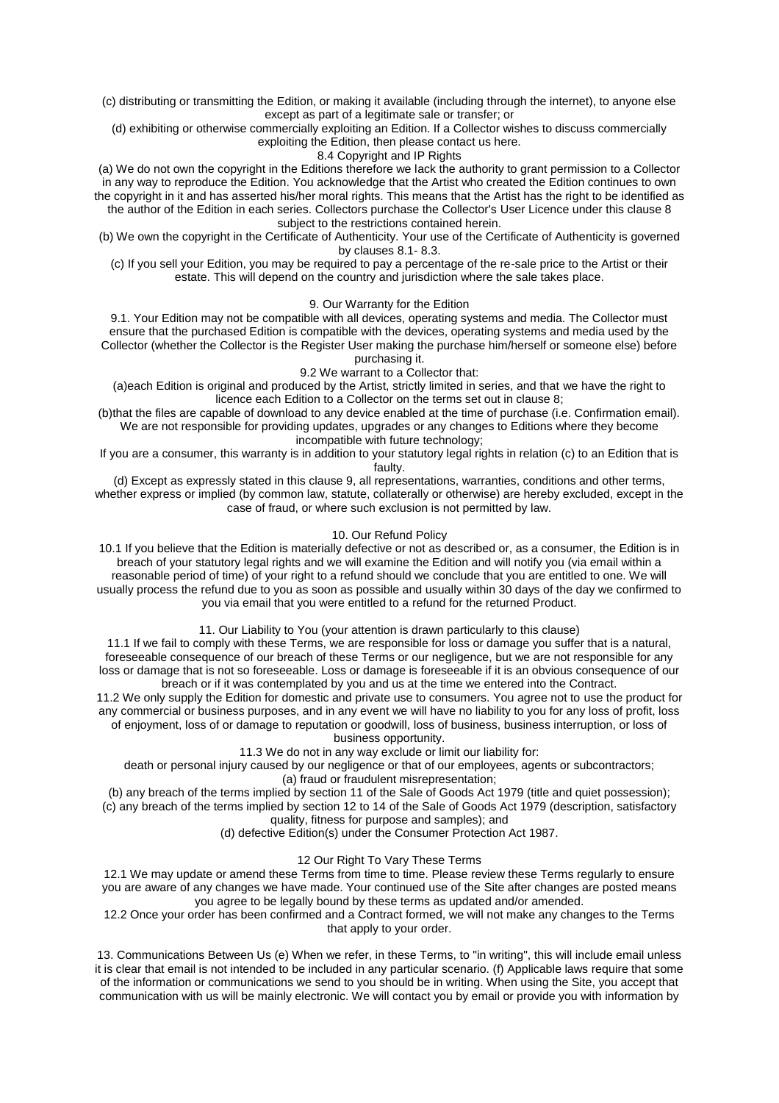(c) distributing or transmitting the Edition, or making it available (including through the internet), to anyone else except as part of a legitimate sale or transfer; or

(d) exhibiting or otherwise commercially exploiting an Edition. If a Collector wishes to discuss commercially exploiting the Edition, then please contact us here.

8.4 Copyright and IP Rights

(a) We do not own the copyright in the Editions therefore we lack the authority to grant permission to a Collector in any way to reproduce the Edition. You acknowledge that the Artist who created the Edition continues to own the copyright in it and has asserted his/her moral rights. This means that the Artist has the right to be identified as the author of the Edition in each series. Collectors purchase the Collector's User Licence under this clause 8 subject to the restrictions contained herein.

(b) We own the copyright in the Certificate of Authenticity. Your use of the Certificate of Authenticity is governed by clauses 8.1- 8.3.

(c) If you sell your Edition, you may be required to pay a percentage of the re-sale price to the Artist or their estate. This will depend on the country and jurisdiction where the sale takes place.

9. Our Warranty for the Edition

9.1. Your Edition may not be compatible with all devices, operating systems and media. The Collector must ensure that the purchased Edition is compatible with the devices, operating systems and media used by the Collector (whether the Collector is the Register User making the purchase him/herself or someone else) before purchasing it.

9.2 We warrant to a Collector that:

(a)each Edition is original and produced by the Artist, strictly limited in series, and that we have the right to licence each Edition to a Collector on the terms set out in clause 8;

(b)that the files are capable of download to any device enabled at the time of purchase (i.e. Confirmation email). We are not responsible for providing updates, upgrades or any changes to Editions where they become incompatible with future technology;

If you are a consumer, this warranty is in addition to your statutory legal rights in relation (c) to an Edition that is faulty.

(d) Except as expressly stated in this clause 9, all representations, warranties, conditions and other terms, whether express or implied (by common law, statute, collaterally or otherwise) are hereby excluded, except in the case of fraud, or where such exclusion is not permitted by law.

10. Our Refund Policy

10.1 If you believe that the Edition is materially defective or not as described or, as a consumer, the Edition is in breach of your statutory legal rights and we will examine the Edition and will notify you (via email within a reasonable period of time) of your right to a refund should we conclude that you are entitled to one. We will usually process the refund due to you as soon as possible and usually within 30 days of the day we confirmed to you via email that you were entitled to a refund for the returned Product.

11. Our Liability to You (your attention is drawn particularly to this clause)

11.1 If we fail to comply with these Terms, we are responsible for loss or damage you suffer that is a natural, foreseeable consequence of our breach of these Terms or our negligence, but we are not responsible for any loss or damage that is not so foreseeable. Loss or damage is foreseeable if it is an obvious consequence of our breach or if it was contemplated by you and us at the time we entered into the Contract.

11.2 We only supply the Edition for domestic and private use to consumers. You agree not to use the product for any commercial or business purposes, and in any event we will have no liability to you for any loss of profit, loss of enjoyment, loss of or damage to reputation or goodwill, loss of business, business interruption, or loss of business opportunity.

11.3 We do not in any way exclude or limit our liability for:

death or personal injury caused by our negligence or that of our employees, agents or subcontractors; (a) fraud or fraudulent misrepresentation;

(b) any breach of the terms implied by section 11 of the Sale of Goods Act 1979 (title and quiet possession); (c) any breach of the terms implied by section 12 to 14 of the Sale of Goods Act 1979 (description, satisfactory quality, fitness for purpose and samples); and

(d) defective Edition(s) under the Consumer Protection Act 1987.

# 12 Our Right To Vary These Terms

12.1 We may update or amend these Terms from time to time. Please review these Terms regularly to ensure you are aware of any changes we have made. Your continued use of the Site after changes are posted means you agree to be legally bound by these terms as updated and/or amended.

12.2 Once your order has been confirmed and a Contract formed, we will not make any changes to the Terms that apply to your order.

13. Communications Between Us (e) When we refer, in these Terms, to "in writing", this will include email unless it is clear that email is not intended to be included in any particular scenario. (f) Applicable laws require that some of the information or communications we send to you should be in writing. When using the Site, you accept that communication with us will be mainly electronic. We will contact you by email or provide you with information by